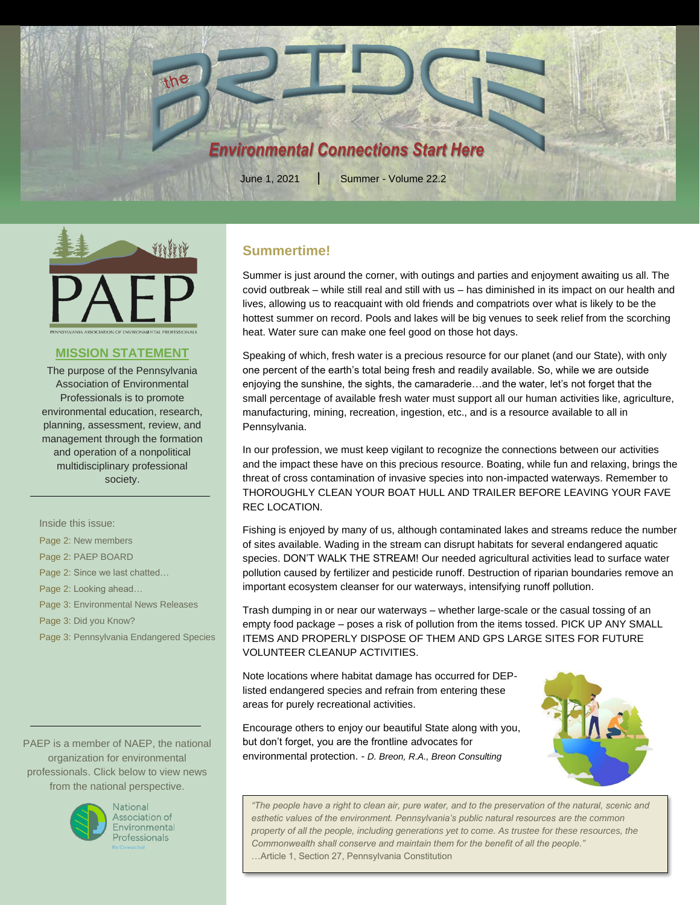



## **MISSION STATEMENT**

The purpose of the Pennsylvania Association of Environmental Professionals is to promote environmental education, research, planning, assessment, review, and management through the formation and operation of a nonpolitical multidisciplinary professional society.

Inside this issue:

Page 2: New members

Page 2: PAEP BOARD

Page 2: Since we last chatted…

Page 2: Looking ahead…

Page 3: Environmental News Releases

Page 3: Did you Know?

Page 3: Pennsylvania Endangered Species

PAEP is a member of NAEP, the national organization for environmental professionals. Click below to view news from the national perspective.



National Association of Environmental **Professionals** 

## **Summertime!**

Summer is just around the corner, with outings and parties and enjoyment awaiting us all. The covid outbreak – while still real and still with us – has diminished in its impact on our health and lives, allowing us to reacquaint with old friends and compatriots over what is likely to be the hottest summer on record. Pools and lakes will be big venues to seek relief from the scorching heat. Water sure can make one feel good on those hot days.

Speaking of which, fresh water is a precious resource for our planet (and our State), with only one percent of the earth's total being fresh and readily available. So, while we are outside enjoying the sunshine, the sights, the camaraderie…and the water, let's not forget that the small percentage of available fresh water must support all our human activities like, agriculture, manufacturing, mining, recreation, ingestion, etc., and is a resource available to all in Pennsylvania.

In our profession, we must keep vigilant to recognize the connections between our activities and the impact these have on this precious resource. Boating, while fun and relaxing, brings the threat of cross contamination of invasive species into non-impacted waterways. Remember to THOROUGHLY CLEAN YOUR BOAT HULL AND TRAILER BEFORE LEAVING YOUR FAVE REC LOCATION.

Fishing is enjoyed by many of us, although contaminated lakes and streams reduce the number of sites available. Wading in the stream can disrupt habitats for several endangered aquatic species. DON'T WALK THE STREAM! Our needed agricultural activities lead to surface water pollution caused by fertilizer and pesticide runoff. Destruction of riparian boundaries remove an important ecosystem cleanser for our waterways, intensifying runoff pollution.

Trash dumping in or near our waterways – whether large-scale or the casual tossing of an empty food package – poses a risk of pollution from the items tossed. PICK UP ANY SMALL ITEMS AND PROPERLY DISPOSE OF THEM AND GPS LARGE SITES FOR FUTURE VOLUNTEER CLEANUP ACTIVITIES.

Note locations where habitat damage has occurred for DEPlisted endangered species and refrain from entering these areas for purely recreational activities.

Encourage others to enjoy our beautiful State along with you, but don't forget, you are the frontline advocates for environmental protection. - *D. Breon, R.A., Breon Consulting*



*"The people have a right to clean air, pure water, and to the preservation of the natural, scenic and esthetic values of the environment. Pennsylvania's public natural resources are the common property of all the people, including generations yet to come. As trustee for these resources, the Commonwealth shall conserve and maintain them for the benefit of all the people."* …Article 1, Section 27, Pennsylvania Constitution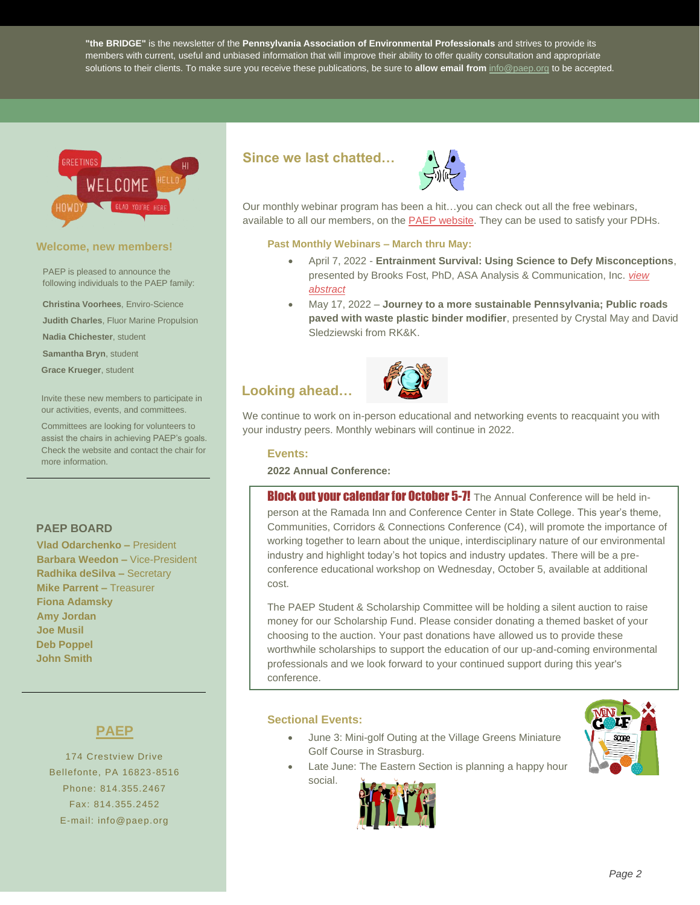**"the BRIDGE"** is the newsletter of the **Pennsylvania Association of Environmental Professionals** and strives to provide its members with current, useful and unbiased information that will improve their ability to offer quality consultation and appropriate solutions to their clients. To make sure you receive these publications, be sure to **allow email from** [info@paep.org](mailto:info@paep.org) to be accepted.



#### **Welcome, new members!**

PAEP is pleased to announce the following individuals to the PAEP family:

**Christina Voorhees**, Enviro-Science

**Judith Charles**, Fluor Marine Propulsion

**Nadia Chichester**, student

**Samantha Bryn**, student

**Grace Krueger**, student

Invite these new members to participate in our activities, events, and committees.

Committees are looking for volunteers to assist the chairs in achieving PAEP's goals. Check the website and contact the chair for more information.

## **PAEP BOARD**

**Vlad Odarchenko –** President **Barbara Weedon –** Vice-President **Radhika deSilva –** Secretary **Mike Parrent –** Treasurer **Fiona Adamsky Amy Jordan Joe Musil Deb Poppel John Smith**

## **PAEP**

174 Crestview Drive Bellefonte, PA 16823-8516 Phone: 814.355.2467 Fax: 814.355.2452 E-mail: info@paep.org

## **Since we last chatted…**



Our monthly webinar program has been a hit…you can check out all the free webinars, available to all our members, on the **PAEP website**. They can be used to satisfy your PDHs.

#### **Past Monthly Webinars – March thru May:**

- April 7, 2022 **Entrainment Survival: Using Science to Defy Misconceptions**, presented by Brooks Fost, PhD, ASA Analysis & Communication, Inc. *[view](https://www.paep.org/conferences/paep-webinar-april-14-2022/)  [abstract](https://www.paep.org/conferences/paep-webinar-april-14-2022/)*
- May 17, 2022 **Journey to a more sustainable Pennsylvania; Public roads paved with waste plastic binder modifier**, presented by Crystal May and David Sledziewski from RK&K.

# **Looking ahead…**



We continue to work on in-person educational and networking events to reacquaint you with your industry peers. Monthly webinars will continue in 2022.

#### **Events:**

#### **2022 Annual Conference:**

Block out your calendar for October 5-7! The Annual Conference will be held inperson at the Ramada Inn and Conference Center in State College. This year's theme, Communities, Corridors & Connections Conference (C4), will promote the importance of working together to learn about the unique, interdisciplinary nature of our environmental industry and highlight today's hot topics and industry updates. There will be a preconference educational workshop on Wednesday, October 5, available at additional cost.

The PAEP Student & Scholarship Committee will be holding a silent auction to raise money for our Scholarship Fund. Please consider donating a themed basket of your choosing to the auction. Your past donations have allowed us to provide these worthwhile scholarships to support the education of our up-and-coming environmental professionals and we look forward to your continued support during this year's conference.

## **Sectional Events:**

social.

- June 3: Mini-golf Outing at the Village Greens Miniature Golf Course in Strasburg.
- Late June: The Eastern Section is planning a happy hour
	-